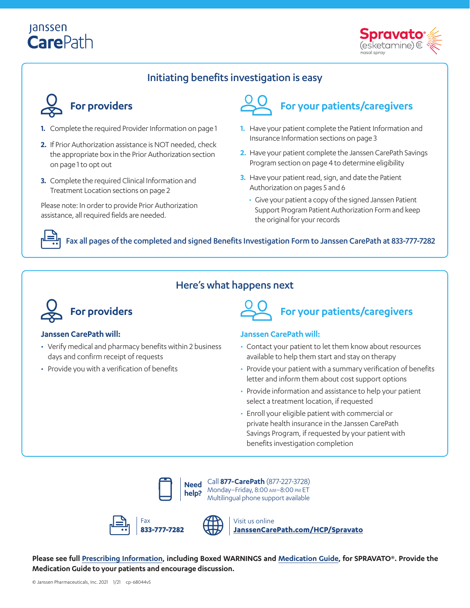# Janssen **CarePath**



### Initiating benefits investigation is easy



- **1.** Complete the required Provider Information on page 1
- **2.** If Prior Authorization assistance is NOT needed, check the appropriate box in the Prior Authorization section on page 1 to opt out
- **3.** Complete the required Clinical Information and Treatment Location sections on page 2

Please note: In order to provide Prior Authorization assistance, all required fields are needed.



# **For your patients/caregivers**

- **1.** Have your patient complete the Patient Information and Insurance Information sections on page 3
- **2.** Have your patient complete the Janssen CarePath Savings Program section on page 4 to determine eligibility
- **3.** Have your patient read, sign, and date the Patient Authorization on pages 5 and 6
	- Give your patient a copy of the signed Janssen Patient Support Program Patient Authorization Form and keep the original for your records

### Fax all pages of the completed and signed Benefits Investigation Form to Janssen CarePath at 833-777-7282

### Here's what happens next



### **Janssen CarePath will:**

- Verify medical and pharmacy benefits within 2 business days and confirm receipt of requests
- Provide you with a verification of benefits



### **Janssen CarePath will:**

- Contact your patient to let them know about resources available to help them start and stay on therapy
- Provide your patient with a summary verification of benefits letter and inform them about cost support options
- Provide information and assistance to help your patient select a treatment location, if requested
- Enroll your eligible patient with commercial or private health insurance in the Janssen CarePath Savings Program, if requested by your patient with benefits investigation completion



**Need**  Call **877-CarePath** (877-227-3728) Monday–Friday, 8:00 am–8:00 pm ET Multilingual phone support available



Visit us online **[JanssenCarePath.com/HCP/Spravato](https://www.janssencarepath.com/hcp/spravato)**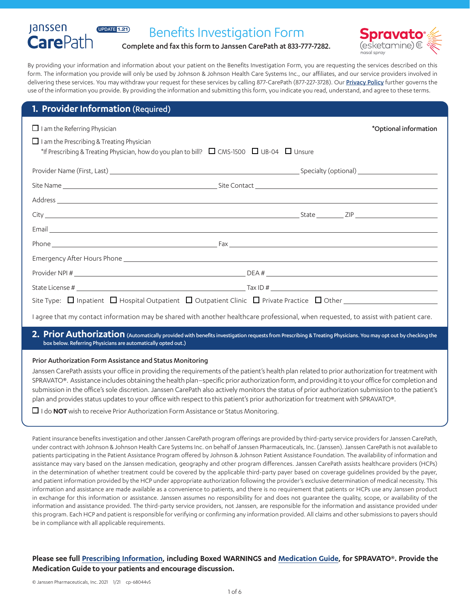### Benefits Investigation Form



Complete and fax this form to Janssen CarePath at 833-777-7282.

By providing your information and information about your patient on the Benefits Investigation Form, you are requesting the services described on this form. The information you provide will only be used by Johnson & Johnson Health Care Systems Inc., our affiliates, and our service providers involved in delivering these services. You may withdraw your request for these services by calling 877-CarePath (877-227-3728). Our [Privacy Policy](https://www.janssencarepath.com/privacy-policy) further governs the use of the information you provide. By providing the information and submitting this form, you indicate you read, understand, and agree to these terms.

### **1. Provider Information** (Required)

UPDATE 1.21

Janssen **CarePath** 

| $\Box$ I am the Referring Physician                                                                                                                                                                                                  | *Optional information |
|--------------------------------------------------------------------------------------------------------------------------------------------------------------------------------------------------------------------------------------|-----------------------|
| $\Box$ I am the Prescribing & Treating Physician<br>*If Prescribing & Treating Physician, how do you plan to bill? $\Box$ CMS-1500 $\Box$ UB-04 $\Box$ Unsure                                                                        |                       |
|                                                                                                                                                                                                                                      |                       |
|                                                                                                                                                                                                                                      |                       |
|                                                                                                                                                                                                                                      |                       |
|                                                                                                                                                                                                                                      |                       |
| Email <u>contract the contract of the contract of the contract of the contract of the contract of the contract of the contract of the contract of the contract of the contract of the contract of the contract of the contract o</u> |                       |
|                                                                                                                                                                                                                                      |                       |
|                                                                                                                                                                                                                                      |                       |
|                                                                                                                                                                                                                                      |                       |
|                                                                                                                                                                                                                                      |                       |
|                                                                                                                                                                                                                                      |                       |
|                                                                                                                                                                                                                                      |                       |

I agree that my contact information may be shared with another healthcare professional, when requested, to assist with patient care.

2. Prior Authorization (Automatically provided with benefits investigation requests from Prescribing & Treating Physicians. You may opt out by checking the box below. Referring Physicians are automatically opted out.)

### Prior Authorization Form Assistance and Status Monitoring

Janssen CarePath assists your office in providing the requirements of the patient's health plan related to prior authorization for treatment with SPRAVATO®. Assistance includes obtaining the health plan–specific prior authorization form, and providing it to your office for completion and submission in the office's sole discretion. Janssen CarePath also actively monitors the status of prior authorization submission to the patient's plan and provides status updates to your office with respect to this patient's prior authorization for treatment with SPRAVATO®.

I do **NOT** wish to receive Prior Authorization Form Assistance or Status Monitoring.

Patient insurance benefits investigation and other Janssen CarePath program offerings are provided by third-party service providers for Janssen CarePath, under contract with Johnson & Johnson Health Care Systems Inc. on behalf of Janssen Pharmaceuticals, Inc. (Janssen). Janssen CarePath is not available to patients participating in the Patient Assistance Program offered by Johnson & Johnson Patient Assistance Foundation. The availability of information and assistance may vary based on the Janssen medication, geography and other program differences. Janssen CarePath assists healthcare providers (HCPs) in the determination of whether treatment could be covered by the applicable third-party payer based on coverage guidelines provided by the payer, and patient information provided by the HCP under appropriate authorization following the provider's exclusive determination of medical necessity. This information and assistance are made available as a convenience to patients, and there is no requirement that patients or HCPs use any Janssen product in exchange for this information or assistance. Janssen assumes no responsibility for and does not guarantee the quality, scope, or availability of the information and assistance provided. The third-party service providers, not Janssen, are responsible for the information and assistance provided under this program. Each HCP and patient is responsible for verifying or confirming any information provided. All claims and other submissions to payers should be in compliance with all applicable requirements.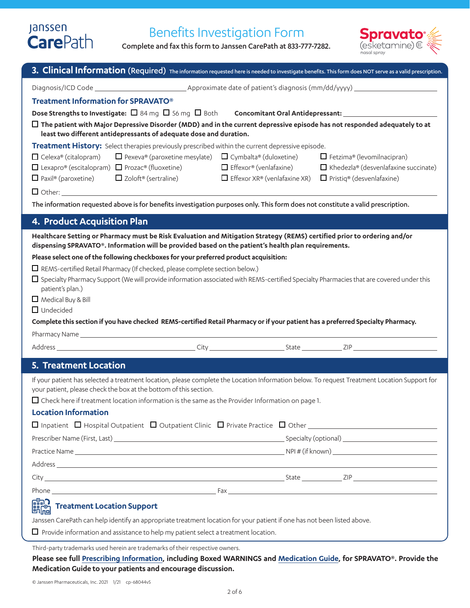# Janssen<br>**Care**Path

# Benefits Investigation Form

Complete and fax this form to Janssen CarePath at 833-777-7282.



| Treatment Information for SPRAVATO®                                                                                                                                                                                             |                                     |                                             |
|---------------------------------------------------------------------------------------------------------------------------------------------------------------------------------------------------------------------------------|-------------------------------------|---------------------------------------------|
|                                                                                                                                                                                                                                 |                                     |                                             |
| $\Box$ The patient with Major Depressive Disorder (MDD) and in the current depressive episode has not responded adequately to at<br>least two different antidepressants of adequate dose and duration.                          |                                     |                                             |
| Treatment History: Select therapies previously prescribed within the current depressive episode.                                                                                                                                |                                     |                                             |
| $\Box$ Pexeva® (paroxetine mesylate) $\Box$ Cymbalta® (duloxetine)<br>$\Box$ Celexa® (citalopram)                                                                                                                               |                                     | $\Box$ Fetzima® (levomilnacipran)           |
| $\Box$ Lexapro® (escitalopram) $\Box$ Prozac® (fluoxetine)                                                                                                                                                                      | $\Box$ Effexor® (venlafaxine)       | $\Box$ Khedezla® (desvenlafaxine succinate) |
| $\Box$ Paxil® (paroxetine) $\Box$ Zoloft® (sertraline)                                                                                                                                                                          | $\Box$ Effexor XR® (venlafaxine XR) | $\Box$ Pristiq® (desvenlafaxine)            |
|                                                                                                                                                                                                                                 |                                     |                                             |
| The information requested above is for benefits investigation purposes only. This form does not constitute a valid prescription.                                                                                                |                                     |                                             |
| 4. Product Acquisition Plan                                                                                                                                                                                                     |                                     |                                             |
| Healthcare Setting or Pharmacy must be Risk Evaluation and Mitigation Strategy (REMS) certified prior to ordering and/or<br>dispensing SPRAVATO®. Information will be provided based on the patient's health plan requirements. |                                     |                                             |
| Please select one of the following checkboxes for your preferred product acquisition:                                                                                                                                           |                                     |                                             |
| $\Box$ REMS-certified Retail Pharmacy (If checked, please complete section below.)                                                                                                                                              |                                     |                                             |
| $\Box$ Specialty Pharmacy Support (We will provide information associated with REMS-certified Specialty Pharmacies that are covered under this                                                                                  |                                     |                                             |
| patient's plan.)<br>$\Box$ Medical Buy & Bill                                                                                                                                                                                   |                                     |                                             |
| $\Box$ Undecided                                                                                                                                                                                                                |                                     |                                             |
| Complete this section if you have checked REMS-certified Retail Pharmacy or if your patient has a preferred Specialty Pharmacy.                                                                                                 |                                     |                                             |
|                                                                                                                                                                                                                                 |                                     |                                             |
|                                                                                                                                                                                                                                 |                                     |                                             |
|                                                                                                                                                                                                                                 |                                     |                                             |
| 5. Treatment Location                                                                                                                                                                                                           |                                     |                                             |
| If your patient has selected a treatment location, please complete the Location Information below. To request Treatment Location Support for                                                                                    |                                     |                                             |
| your patient, please check the box at the bottom of this section.                                                                                                                                                               |                                     |                                             |
| $\Box$ Check here if treatment location information is the same as the Provider Information on page 1.<br><b>Location Information</b>                                                                                           |                                     |                                             |
|                                                                                                                                                                                                                                 |                                     |                                             |
|                                                                                                                                                                                                                                 |                                     |                                             |
|                                                                                                                                                                                                                                 |                                     |                                             |
|                                                                                                                                                                                                                                 |                                     |                                             |
|                                                                                                                                                                                                                                 |                                     |                                             |
|                                                                                                                                                                                                                                 |                                     |                                             |
| ြော <b>ာ</b><br>မီး <sub>ကြ</sub> ါ Treatment Location Support<br>မီး <sub>ကြ</sub> ါ                                                                                                                                           |                                     |                                             |
| Janssen CarePath can help identify an appropriate treatment location for your patient if one has not been listed above.                                                                                                         |                                     |                                             |

Third-party trademarks used herein are trademarks of their respective owners.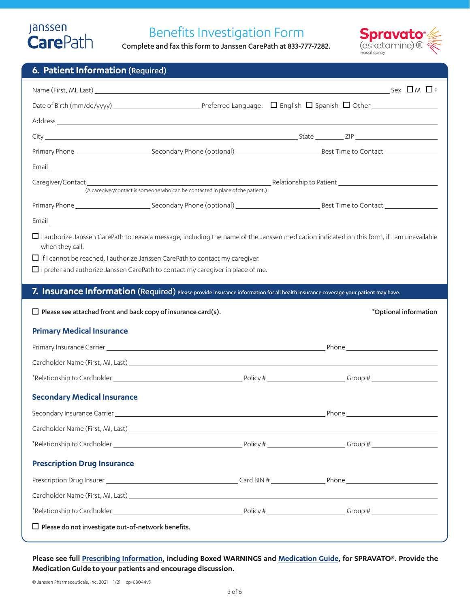# Janssen<br>**Care**Path

# Benefits Investigation Form

Complete and fax this form to Janssen CarePath at 833-777-7282.



|  | 6. Patient Information (Required) |
|--|-----------------------------------|
|  |                                   |

| Email <u>Communication of the communication of the communication of the communication of the communication of the communication</u>                                                                                            |       |                       |
|--------------------------------------------------------------------------------------------------------------------------------------------------------------------------------------------------------------------------------|-------|-----------------------|
|                                                                                                                                                                                                                                |       |                       |
|                                                                                                                                                                                                                                |       |                       |
|                                                                                                                                                                                                                                |       |                       |
| □ I authorize Janssen CarePath to leave a message, including the name of the Janssen medication indicated on this form, if I am unavailable<br>when they call.                                                                 |       |                       |
| $\Box$ If I cannot be reached, I authorize Janssen CarePath to contact my caregiver.                                                                                                                                           |       |                       |
| $\Box$ I prefer and authorize Janssen CarePath to contact my caregiver in place of me.                                                                                                                                         |       |                       |
| 7. Insurance Information (Required) Please provide insurance information for all health insurance coverage your patient may have.                                                                                              |       |                       |
| $\Box$ Please see attached front and back copy of insurance card(s).                                                                                                                                                           |       | *Optional information |
| <b>Primary Medical Insurance</b>                                                                                                                                                                                               |       |                       |
|                                                                                                                                                                                                                                |       |                       |
|                                                                                                                                                                                                                                |       |                       |
|                                                                                                                                                                                                                                |       |                       |
| <b>Secondary Medical Insurance</b>                                                                                                                                                                                             |       |                       |
|                                                                                                                                                                                                                                | Phone |                       |
|                                                                                                                                                                                                                                |       |                       |
|                                                                                                                                                                                                                                |       |                       |
| <b>Prescription Drug Insurance</b>                                                                                                                                                                                             |       |                       |
|                                                                                                                                                                                                                                |       |                       |
| Cardholder Name (First, MI, Last) Later and the control of the control of the control of the control of the control of the control of the control of the control of the control of the control of the control of the control o |       |                       |
|                                                                                                                                                                                                                                |       |                       |
| $\Box$ Please do not investigate out-of-network benefits.                                                                                                                                                                      |       |                       |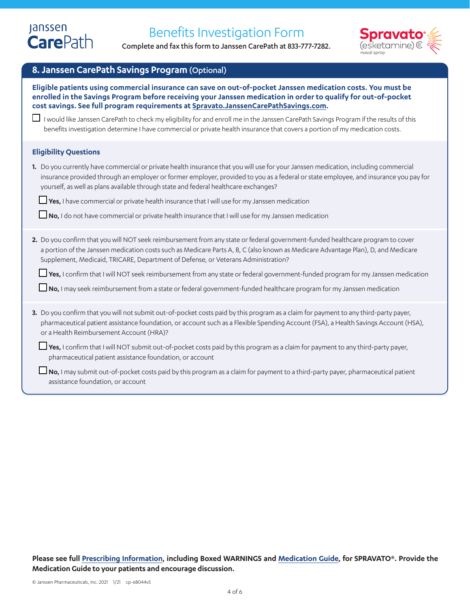Complete and fax this form to Janssen CarePath at 833-777-7282.



### **8. Janssen CarePath Savings Program**(Optional)

| Eligible patients using commercial insurance can save on out-of-pocket Janssen medication costs. You must be<br>enrolled in the Savings Program before receiving your Janssen medication in order to qualify for out-of-pocket<br>cost savings. See full program requirements at Spravato.JanssenCarePathSavings.com.                                               |
|---------------------------------------------------------------------------------------------------------------------------------------------------------------------------------------------------------------------------------------------------------------------------------------------------------------------------------------------------------------------|
| $\Box$ I would like Janssen CarePath to check my eligibility for and enroll me in the Janssen CarePath Savings Program if the results of this<br>benefits investigation determine I have commercial or private health insurance that covers a portion of my medication costs.                                                                                       |
| <b>Eligibility Questions</b>                                                                                                                                                                                                                                                                                                                                        |
| 1. Do you currently have commercial or private health insurance that you will use for your Janssen medication, including commercial<br>insurance provided through an employer or former employer, provided to you as a federal or state employee, and insurance you pay for<br>yourself, as well as plans available through state and federal healthcare exchanges? |
| $\Box$ Yes, I have commercial or private health insurance that I will use for my Janssen medication                                                                                                                                                                                                                                                                 |
| $\Box$ No, I do not have commercial or private health insurance that I will use for my Janssen medication                                                                                                                                                                                                                                                           |
| 2. Do you confirm that you will NOT seek reimbursement from any state or federal government-funded healthcare program to cover<br>a portion of the Janssen medication costs such as Medicare Parts A, B, C (also known as Medicare Advantage Plan), D, and Medicare<br>Supplement, Medicaid, TRICARE, Department of Defense, or Veterans Administration?            |
| □ Yes, I confirm that I will NOT seek reimbursement from any state or federal government-funded program for my Janssen medication                                                                                                                                                                                                                                   |
| □ No, I may seek reimbursement from a state or federal government-funded healthcare program for my Janssen medication                                                                                                                                                                                                                                               |
| 3. Do you confirm that you will not submit out-of-pocket costs paid by this program as a claim for payment to any third-party payer,<br>pharmaceutical patient assistance foundation, or account such as a Flexible Spending Account (FSA), a Health Savings Account (HSA),<br>or a Health Reimbursement Account (HRA)?                                             |
| $\Box$ Yes, I confirm that I will NOT submit out-of-pocket costs paid by this program as a claim for payment to any third-party payer,<br>pharmaceutical patient assistance foundation, or account                                                                                                                                                                  |
| No, I may submit out-of-pocket costs paid by this program as a claim for payment to a third-party payer, pharmaceutical patient<br>assistance foundation, or account                                                                                                                                                                                                |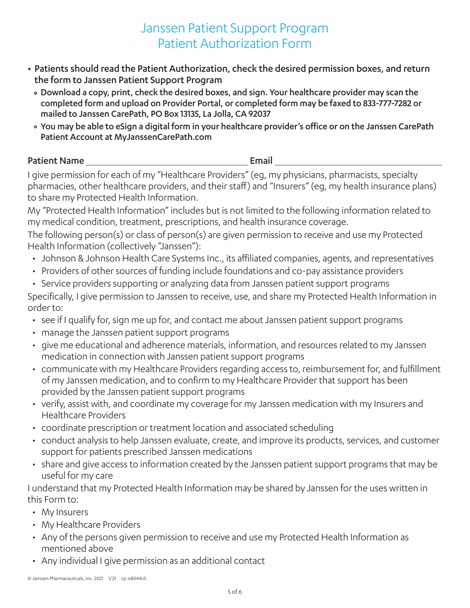# Janssen Patient Support Program Patient Authorization Form

- Patients should read the Patient Authorization, check the desired permission boxes, and return the form to Janssen Patient Support Program
	- Download a copy, print, check the desired boxes, and sign. Your healthcare provider may scan the completed form and upload on Provider Portal, or completed form may be faxed to 833-777-7282 or mailed to Janssen CarePath, PO Box 13135, La Jolla, CA 92037
	- You may be able to eSign a digital form in your healthcare provider's office or on the Janssen CarePath Patient Account at MyJanssenCarePath.com

### Patient Name **Email**

I give permission for each of my "Healthcare Providers" (eg, my physicians, pharmacists, specialty pharmacies, other healthcare providers, and their staff) and "Insurers" (eg, my health insurance plans) to share my Protected Health Information.

My "Protected Health Information" includes but is not limited to the following information related to my medical condition, treatment, prescriptions, and health insurance coverage.

The following person(s) or class of person(s) are given permission to receive and use my Protected Health Information (collectively "Janssen"):

- Johnson & Johnson Health Care Systems Inc., its affiliated companies, agents, and representatives
- Providers of other sources of funding include foundations and co-pay assistance providers
- Service providers supporting or analyzing data from Janssen patient support programs

Specifically, I give permission to Janssen to receive, use, and share my Protected Health Information in order to:

- see if I qualify for, sign me up for, and contact me about Janssen patient support programs
- manage the Janssen patient support programs
- give me educational and adherence materials, information, and resources related to my Janssen medication in connection with Janssen patient support programs
- communicate with my Healthcare Providers regarding access to, reimbursement for, and fulfillment of my Janssen medication, and to confirm to my Healthcare Provider that support has been provided by the Janssen patient support programs
- verify, assist with, and coordinate my coverage for my Janssen medication with my Insurers and Healthcare Providers
- coordinate prescription or treatment location and associated scheduling
- conduct analysis to help Janssen evaluate, create, and improve its products, services, and customer support for patients prescribed Janssen medications
- share and give access to information created by the Janssen patient support programs that may be useful for my care

I understand that my Protected Health Information may be shared by Janssen for the uses written in this Form to:

- My Insurers
- My Healthcare Providers
- Any of the persons given permission to receive and use my Protected Health Information as mentioned above
- Any individual I give permission as an additional contact